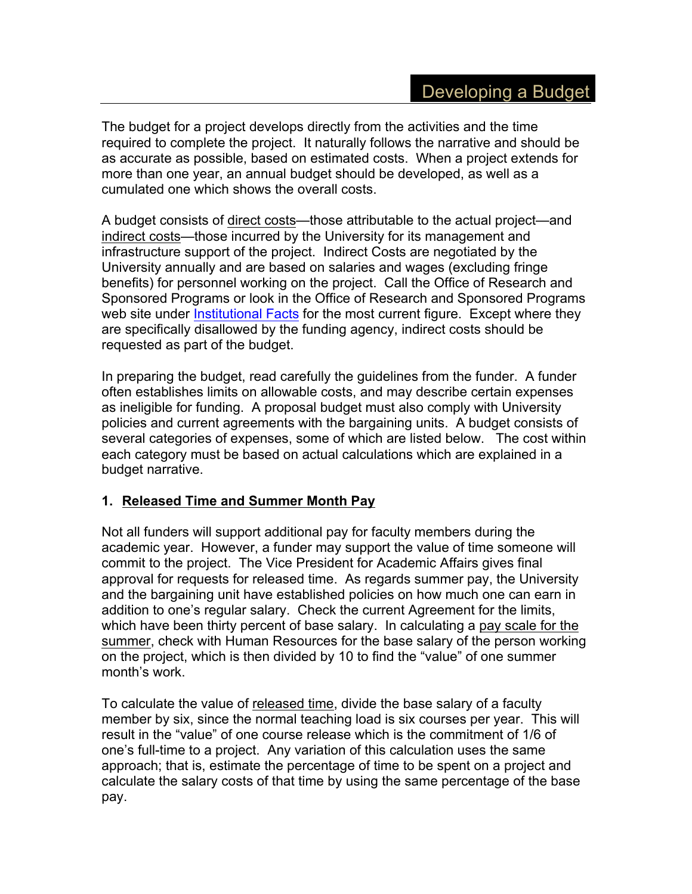The budget for a project develops directly from the activities and the time required to complete the project. It naturally follows the narrative and should be as accurate as possible, based on estimated costs. When a project extends for more than one year, an annual budget should be developed, as well as a cumulated one which shows the overall costs.

A budget consists of direct costs—those attributable to the actual project—and indirect costs—those incurred by the University for its management and infrastructure support of the project. Indirect Costs are negotiated by the University annually and are based on salaries and wages (excluding fringe benefits) for personnel working on the project. Call the Office of Research and Sponsored Programs or look in the Office of Research and Sponsored Programs web site under Institutional Facts for the most current figure. Except where they are specifically disallowed by the funding agency, indirect costs should be requested as part of the budget.

In preparing the budget, read carefully the guidelines from the funder. A funder often establishes limits on allowable costs, and may describe certain expenses as ineligible for funding. A proposal budget must also comply with University policies and current agreements with the bargaining units. A budget consists of several categories of expenses, some of which are listed below. The cost within each category must be based on actual calculations which are explained in a budget narrative.

## **1. Released Time and Summer Month Pay**

Not all funders will support additional pay for faculty members during the academic year. However, a funder may support the value of time someone will commit to the project. The Vice President for Academic Affairs gives final approval for requests for released time. As regards summer pay, the University and the bargaining unit have established policies on how much one can earn in addition to one's regular salary. Check the current Agreement for the limits, which have been thirty percent of base salary. In calculating a pay scale for the summer, check with Human Resources for the base salary of the person working on the project, which is then divided by 10 to find the "value" of one summer month's work.

To calculate the value of released time, divide the base salary of a faculty member by six, since the normal teaching load is six courses per year. This will result in the "value" of one course release which is the commitment of 1/6 of one's full-time to a project. Any variation of this calculation uses the same approach; that is, estimate the percentage of time to be spent on a project and calculate the salary costs of that time by using the same percentage of the base pay.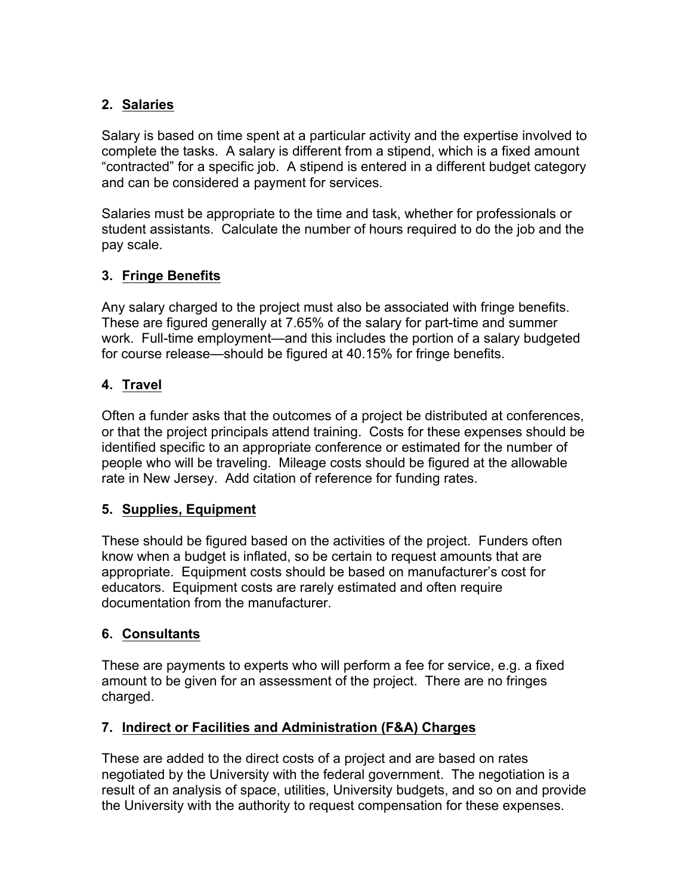## **2. Salaries**

Salary is based on time spent at a particular activity and the expertise involved to complete the tasks. A salary is different from a stipend, which is a fixed amount "contracted" for a specific job. A stipend is entered in a different budget category and can be considered a payment for services.

Salaries must be appropriate to the time and task, whether for professionals or student assistants. Calculate the number of hours required to do the job and the pay scale.

# **3. Fringe Benefits**

Any salary charged to the project must also be associated with fringe benefits. These are figured generally at 7.65% of the salary for part-time and summer work. Full-time employment—and this includes the portion of a salary budgeted for course release—should be figured at 40.15% for fringe benefits.

## **4. Travel**

Often a funder asks that the outcomes of a project be distributed at conferences, or that the project principals attend training. Costs for these expenses should be identified specific to an appropriate conference or estimated for the number of people who will be traveling. Mileage costs should be figured at the allowable rate in New Jersey. Add citation of reference for funding rates.

## **5. Supplies, Equipment**

These should be figured based on the activities of the project. Funders often know when a budget is inflated, so be certain to request amounts that are appropriate. Equipment costs should be based on manufacturer's cost for educators. Equipment costs are rarely estimated and often require documentation from the manufacturer.

## **6. Consultants**

These are payments to experts who will perform a fee for service, e.g. a fixed amount to be given for an assessment of the project. There are no fringes charged.

## **7. Indirect or Facilities and Administration (F&A) Charges**

These are added to the direct costs of a project and are based on rates negotiated by the University with the federal government. The negotiation is a result of an analysis of space, utilities, University budgets, and so on and provide the University with the authority to request compensation for these expenses.